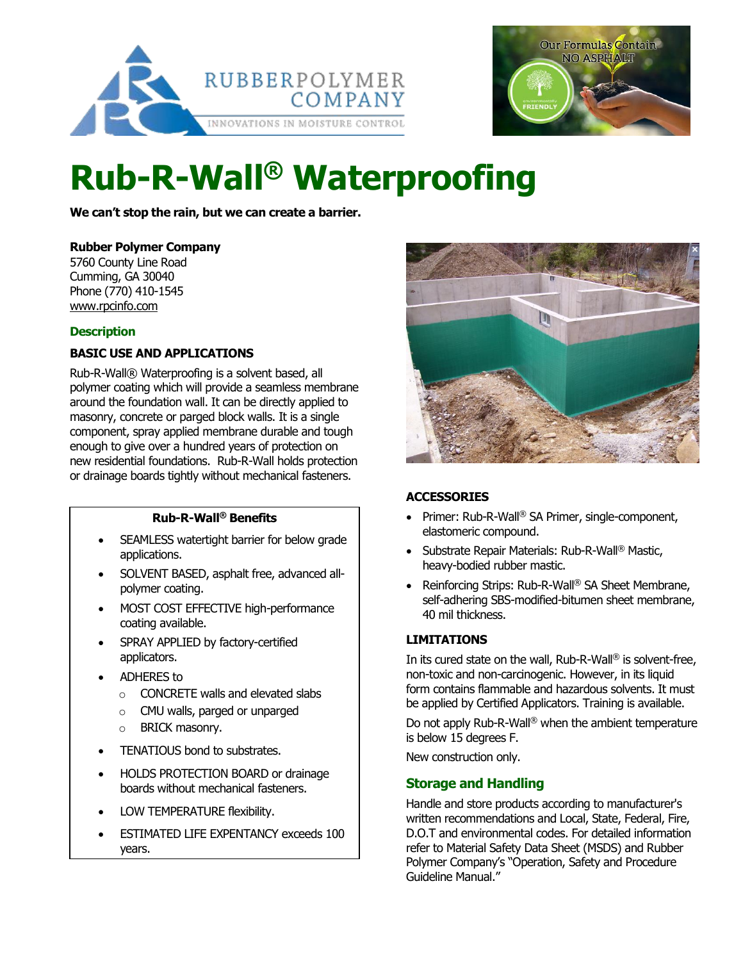



# **Rub-R-Wall® Waterproofing**

**We can't stop the rain, but we can create a barrier.**

## **Rubber Polymer Company**

5760 County Line Road Cumming, GA 30040 Phone (770) 410-1545 [www.rpcinfo.com](http://www.rpcinfo.com/)

## **Description**

## **BASIC USE AND APPLICATIONS**

Rub-R-Wall® Waterproofing is a solvent based, all polymer coating which will provide a seamless membrane around the foundation wall. It can be directly applied to masonry, concrete or parged block walls. It is a single component, spray applied membrane durable and tough enough to give over a hundred years of protection on new residential foundations. Rub-R-Wall holds protection or drainage boards tightly without mechanical fasteners.

## **Rub-R-Wall® Benefits**

- SEAMLESS watertight barrier for below grade applications.
- SOLVENT BASED, asphalt free, advanced allpolymer coating.
- MOST COST EFFECTIVE high-performance coating available.
- SPRAY APPLIED by factory-certified applicators.
- ADHERES to
	- o CONCRETE walls and elevated slabs
	- o CMU walls, parged or unparged
	- o BRICK masonry.
- TENATIOUS bond to substrates.
- HOLDS PROTECTION BOARD or drainage boards without mechanical fasteners.
- LOW TEMPERATURE flexibility.
- **ESTIMATED LIFE EXPENTANCY exceeds 100** years.



## **ACCESSORIES**

- Primer: Rub-R-Wall<sup>®</sup> SA Primer, single-component, elastomeric compound.
- Substrate Repair Materials: Rub-R-Wall<sup>®</sup> Mastic, heavy-bodied rubber mastic.
- Reinforcing Strips: Rub-R-Wall® SA Sheet Membrane, self-adhering SBS-modified-bitumen sheet membrane, 40 mil thickness.

## **LIMITATIONS**

In its cured state on the wall, Rub-R-Wall® is solvent-free, non-toxic and non-carcinogenic. However, in its liquid form contains flammable and hazardous solvents. It must be applied by Certified Applicators. Training is available.

Do not apply Rub-R-Wall<sup>®</sup> when the ambient temperature is below 15 degrees F.

New construction only.

## **Storage and Handling**

Handle and store products according to manufacturer's written recommendations and Local, State, Federal, Fire, D.O.T and environmental codes. For detailed information refer to Material Safety Data Sheet (MSDS) and Rubber Polymer Company's "Operation, Safety and Procedure Guideline Manual."